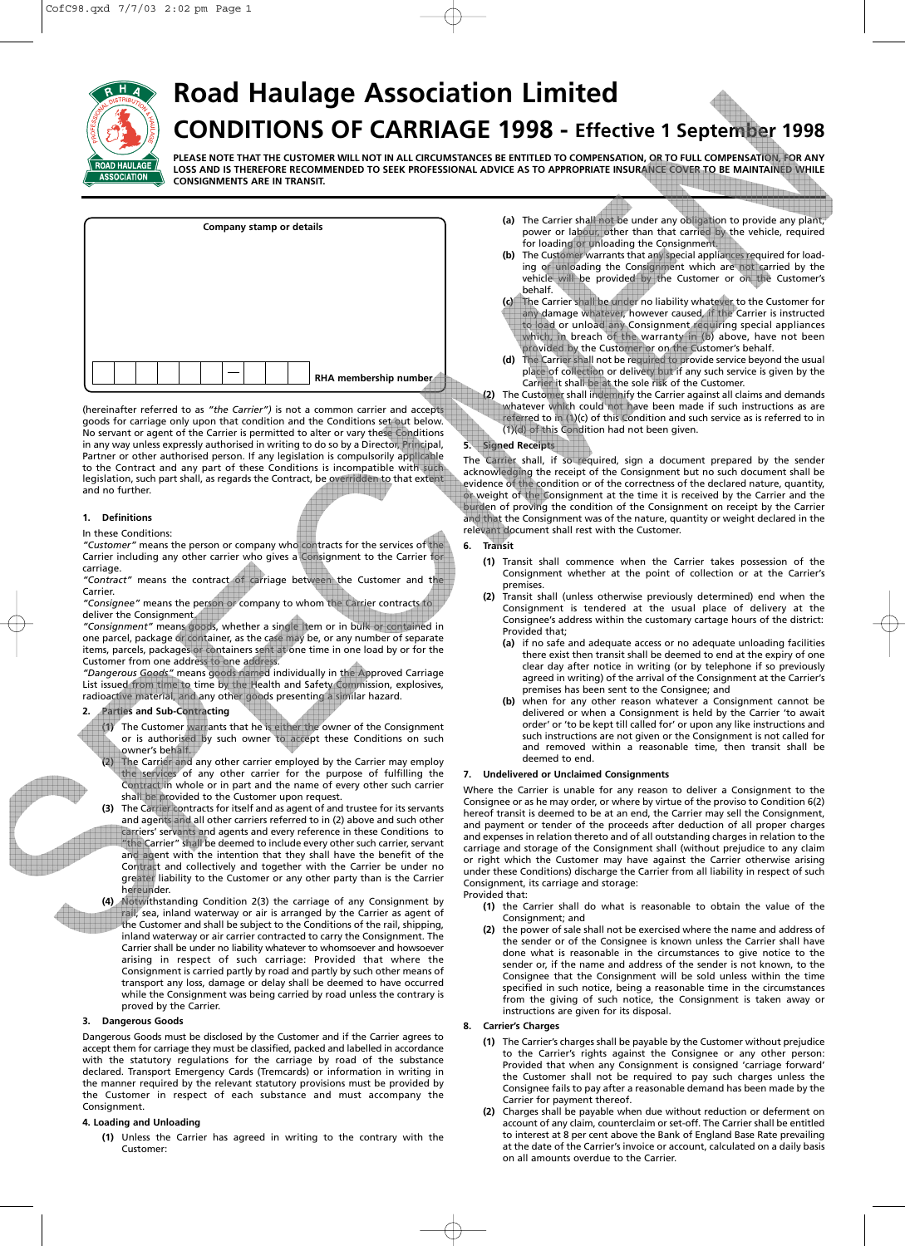

# **Road Haulage Association Limited CONDITIONS OF CARRIAGE 1998 - Effective 1 September 1998**

**PLEASE NOTE THAT THE CUSTOMER WILL NOT IN ALL CIRCUMSTANCES BE ENTITLED TO COMPENSATION, OR TO FULL COMPENSATION, FOR ANY LOSS AND IS THEREFORE RECOMMENDED TO SEEK PROFESSIONAL ADVICE AS TO APPROPRIATE INSURANCE COVER TO BE MAINTAINED WHILE CONSIGNMENTS ARE IN TRANSIT.**

|  | Company stamp or details |                       |
|--|--------------------------|-----------------------|
|  |                          |                       |
|  |                          |                       |
|  |                          |                       |
|  |                          |                       |
|  |                          |                       |
|  |                          | RHA membership number |

(hereinafter referred to as *"the Carrier")* is not a common carrier and accepts goods for carriage only upon that condition and the Conditions set out below. No servant or agent of the Carrier is permitted to alter or vary these Conditions in any way unless expressly authorised in writing to do so by a Director, Principal, Partner or other authorised person. If any legislation is compulsorily applicable to the Contract and any part of these Conditions is incompatible with such legislation, such part shall, as regards the Contract, be overridden to that extent and no further.

## **1. Definitions**

#### In these Conditions:

*"Customer"* means the person or company who contracts for the services of the Carrier including any other carrier who gives a Consignment to the Carrier for carriage.

*"Contract"* means the contract of carriage between the Customer and the Carrier.

*"Consignee"* means the person or company to whom the Carrier contracts to deliver the Consignment.

"Consignment" means goods, whether a single item or in bulk or conta one parcel, package or container, as the case may be, or any number of separate items, parcels, packages or containers sent at one time in one load by or for the Customer from one address to one address.

*"Dangerous Goods"* means goods named individually in the Approved Carriage List issued from time to time by the Health and Safety Commission, explosives, radioactive material, and any other goods presenting a similar hazard.

**2. Parties and Sub-Contracting**

**(1)** The Customer warrants that he is either the owner of the Consignment or is authorised by such owner to accept these Conditions on such owner's behalf.

**(2)** The Carrier and any other carrier employed by the Carrier may employ the services of any other carrier for the purpose of fulfilling the Contract in whole or in part and the name of every other such carrier shall be provided to the Customer upon request.

**(3)** The Carrier contracts for itself and as agent of and trustee for its servants and agents and all other carriers referred to in (2) above and such other carriers' servants and agents and every reference in these Conditions to "the Carrier" shall be deemed to include every other such carrier, servant and agent with the intention that they shall have the benefit of the Contract and collectively and together with the Carrier be under no greater liability to the Customer or any other party than is the Carrier hereunder.

**(4)** Notwithstanding Condition 2(3) the carriage of any Consignment by rail, sea, inland waterway or air is arranged by the Carrier as agent of the Customer and shall be subject to the Conditions of the rail, shipping, inland waterway or air carrier contracted to carry the Consignment. The Carrier shall be under no liability whatever to whomsoever and howsoever arising in respect of such carriage: Provided that where the Consignment is carried partly by road and partly by such other means of transport any loss, damage or delay shall be deemed to have occurred while the Consignment was being carried by road unless the contrary is proved by the Carrier.

## **3. Dangerous Goods**

Dangerous Goods must be disclosed by the Customer and if the Carrier agrees to accept them for carriage they must be classified, packed and labelled in accordance with the statutory regulations for the carriage by road of the substance declared. Transport Emergency Cards (Tremcards) or information in writing in the manner required by the relevant statutory provisions must be provided by the Customer in respect of each substance and must accompany the Consignment.

## **4. Loading and Unloading**

**(1)** Unless the Carrier has agreed in writing to the contrary with the Customer:

- **(a)** The Carrier shall not be under any obligation to provide any plant, power or labour, other than that carried by the vehicle, required for loading or unloading the Consignment.
- **(b)** The Customer warrants that any special appliances required for loading or unloading the Consignment which are not carried by the vehicle will be provided by the Customer or on the Customer's behalf.
- **(c)** The Carrier shall be under no liability whatever to the Customer for any damage whatever, however caused, if the Carrier is instructed to load or unload any Consignment requiring special appliances which, in breach of the warranty in (b) above, have not been provided by the Customer or on the Customer's behalf.
- **(d)** The Carrier shall not be required to provide service beyond the usual place of collection or delivery but if any such service is given by the Carrier it shall be at the sole risk of the Customer.

**(2)** The Customer shall indemnify the Carrier against all claims and demands whatever which could not have been made if such instructions as are  $r$  ferred to in (1)(c) of this Condition and such service as is referred to in (1)(d) of this Condition had not been given.

# **5. Signed Receipts**

The Carrier shall, if so required, sign a document prepared by the sender acknowledging the receipt of the Consignment but no such document shall be evidence of the condition or of the correctness of the declared nature, quantity, or weight of the Consignment at the time it is received by the Carrier and the burden of proving the condition of the Consignment on receipt by the Carrier and that the Consignment was of the nature, quantity or weight declared in the relevant document shall rest with the Customer.

# **6. Transit**

- **(1)** Transit shall commence when the Carrier takes possession of the Consignment whether at the point of collection or at the Carrier's premises.
- **(2)** Transit shall (unless otherwise previously determined) end when the Consignment is tendered at the usual place of delivery at the Consignee's address within the customary cartage hours of the district: Provided that;
	- **(a)** if no safe and adequate access or no adequate unloading facilities there exist then transit shall be deemed to end at the expiry of one clear day after notice in writing (or by telephone if so previously agreed in writing) of the arrival of the Consignment at the Carrier's premises has been sent to the Consignee; and
	- **(b)** when for any other reason whatever a Consignment cannot be delivered or when a Consignment is held by the Carrier 'to await order' or 'to be kept till called for' or upon any like instructions and such instructions are not given or the Consignment is not called for and removed within a reasonable time, then transit shall be deemed to end.

# **7. Undelivered or Unclaimed Consignments**

Where the Carrier is unable for any reason to deliver a Consignment to the Consignee or as he may order, or where by virtue of the proviso to Condition 6(2) hereof transit is deemed to be at an end, the Carrier may sell the Consignment, and payment or tender of the proceeds after deduction of all proper charges and expenses in relation thereto and of all outstanding charges in relation to the carriage and storage of the Consignment shall (without prejudice to any claim or right which the Customer may have against the Carrier otherwise arising under these Conditions) discharge the Carrier from all liability in respect of such Consignment, its carriage and storage:

#### Provided that:

- **(1)** the Carrier shall do what is reasonable to obtain the value of the Consignment; and
- **(2)** the power of sale shall not be exercised where the name and address of the sender or of the Consignee is known unless the Carrier shall have done what is reasonable in the circumstances to give notice to the sender or, if the name and address of the sender is not known, to the Consignee that the Consignment will be sold unless within the time specified in such notice, being a reasonable time in the circumstances from the giving of such notice, the Consignment is taken away or instructions are given for its disposal.

# **8. Carrier's Charges**

- **(1)** The Carrier's charges shall be payable by the Customer without prejudice to the Carrier's rights against the Consignee or any other person: Provided that when any Consignment is consigned 'carriage forward' the Customer shall not be required to pay such charges unless the Consignee fails to pay after a reasonable demand has been made by the Carrier for payment thereof.
- **(2)** Charges shall be payable when due without reduction or deferment on account of any claim, counterclaim or set-off. The Carrier shall be entitled to interest at 8 per cent above the Bank of England Base Rate prevailing at the date of the Carrier's invoice or account, calculated on a daily basis on all amounts overdue to the Carrier.